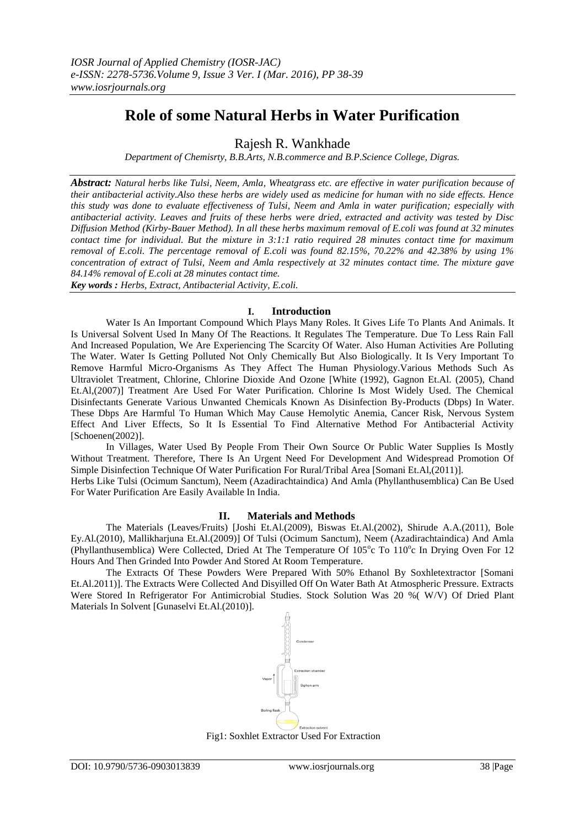# **Role of some Natural Herbs in Water Purification**

Rajesh R. Wankhade

*Department of Chemisrty, B.B.Arts, N.B.commerce and B.P.Science College, Digras.*

*Abstract: Natural herbs like Tulsi, Neem, Amla, Wheatgrass etc. are effective in water purification because of their antibacterial activity.Also these herbs are widely used as medicine for human with no side effects. Hence this study was done to evaluate effectiveness of Tulsi, Neem and Amla in water purification; especially with antibacterial activity. Leaves and fruits of these herbs were dried, extracted and activity was tested by Disc Diffusion Method (Kirby-Bauer Method). In all these herbs maximum removal of E.coli was found at 32 minutes contact time for individual. But the mixture in 3:1:1 ratio required 28 minutes contact time for maximum removal of E.coli. The percentage removal of E.coli was found 82.15%, 70.22% and 42.38% by using 1% concentration of extract of Tulsi, Neem and Amla respectively at 32 minutes contact time. The mixture gave 84.14% removal of E.coli at 28 minutes contact time. Key words : Herbs, Extract, Antibacterial Activity, E.coli.*

**I. Introduction**

Water Is An Important Compound Which Plays Many Roles. It Gives Life To Plants And Animals. It Is Universal Solvent Used In Many Of The Reactions. It Regulates The Temperature. Due To Less Rain Fall And Increased Population, We Are Experiencing The Scarcity Of Water. Also Human Activities Are Polluting The Water. Water Is Getting Polluted Not Only Chemically But Also Biologically. It Is Very Important To Remove Harmful Micro-Organisms As They Affect The Human Physiology.Various Methods Such As Ultraviolet Treatment, Chlorine, Chlorine Dioxide And Ozone [White (1992), Gagnon Et.Al. (2005), Chand Et.Al,(2007)] Treatment Are Used For Water Purification. Chlorine Is Most Widely Used. The Chemical Disinfectants Generate Various Unwanted Chemicals Known As Disinfection By-Products (Dbps) In Water. These Dbps Are Harmful To Human Which May Cause Hemolytic Anemia, Cancer Risk, Nervous System Effect And Liver Effects, So It Is Essential To Find Alternative Method For Antibacterial Activity [Schoenen(2002)].

In Villages, Water Used By People From Their Own Source Or Public Water Supplies Is Mostly Without Treatment. Therefore, There Is An Urgent Need For Development And Widespread Promotion Of Simple Disinfection Technique Of Water Purification For Rural/Tribal Area [Somani Et.Al,(2011)].

Herbs Like Tulsi (Ocimum Sanctum), Neem (Azadirachtaindica) And Amla (Phyllanthusemblica) Can Be Used For Water Purification Are Easily Available In India.

## **II. Materials and Methods**

The Materials (Leaves/Fruits) [Joshi Et.Al.(2009), Biswas Et.Al.(2002), Shirude A.A.(2011), Bole Ey.Al.(2010), Mallikharjuna Et.Al.(2009)] Of Tulsi (Ocimum Sanctum), Neem (Azadirachtaindica) And Amla (Phyllanthusemblica) Were Collected, Dried At The Temperature Of 105°c To 110°c In Drying Oven For 12 Hours And Then Grinded Into Powder And Stored At Room Temperature.

The Extracts Of These Powders Were Prepared With 50% Ethanol By Soxhletextractor [Somani Et.Al.2011)]. The Extracts Were Collected And Disyilled Off On Water Bath At Atmospheric Pressure. Extracts Were Stored In Refrigerator For Antimicrobial Studies. Stock Solution Was 20 %( W/V) Of Dried Plant Materials In Solvent [Gunaselvi Et.Al.(2010)].



Fig1: Soxhlet Extractor Used For Extraction